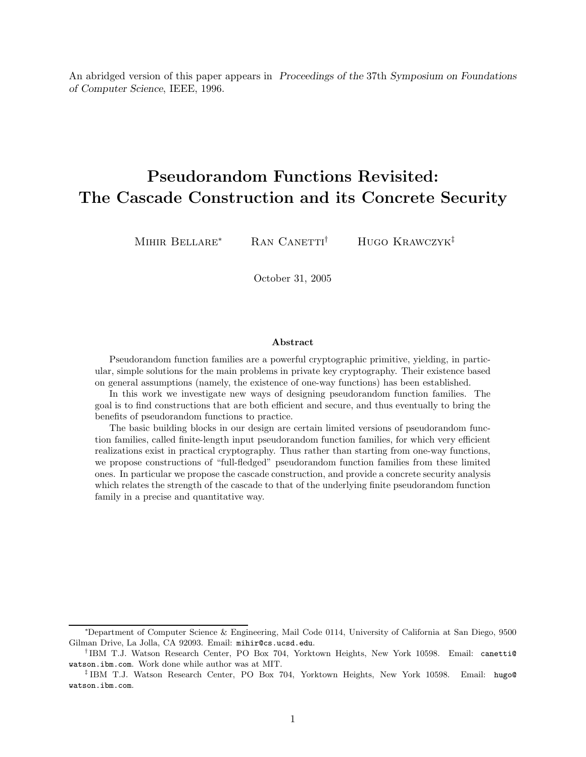An abridged version of this paper appears in Proceedings of the 37th Symposium on Foundations of Computer Science, IEEE, 1996.

# Pseudorandom Functions Revisited: The Cascade Construction and its Concrete Security

MIHIR BELLARE<sup>∗</sup> RAN CANETTI<sup>†</sup> HUGO KRAWCZYK<sup>‡</sup>

October 31, 2005

#### Abstract

Pseudorandom function families are a powerful cryptographic primitive, yielding, in particular, simple solutions for the main problems in private key cryptography. Their existence based on general assumptions (namely, the existence of one-way functions) has been established.

In this work we investigate new ways of designing pseudorandom function families. The goal is to find constructions that are both efficient and secure, and thus eventually to bring the benefits of pseudorandom functions to practice.

The basic building blocks in our design are certain limited versions of pseudorandom function families, called finite-length input pseudorandom function families, for which very efficient realizations exist in practical cryptography. Thus rather than starting from one-way functions, we propose constructions of "full-fledged" pseudorandom function families from these limited ones. In particular we propose the cascade construction, and provide a concrete security analysis which relates the strength of the cascade to that of the underlying finite pseudorandom function family in a precise and quantitative way.

<sup>∗</sup>Department of Computer Science & Engineering, Mail Code 0114, University of California at San Diego, 9500 Gilman Drive, La Jolla, CA 92093. Email: mihir@cs.ucsd.edu.

<sup>&</sup>lt;sup>†</sup>IBM T.J. Watson Research Center, PO Box 704, Yorktown Heights, New York 10598. Email: canetti@ watson.ibm.com. Work done while author was at MIT.

<sup>‡</sup> IBM T.J. Watson Research Center, PO Box 704, Yorktown Heights, New York 10598. Email: hugo@ watson.ibm.com.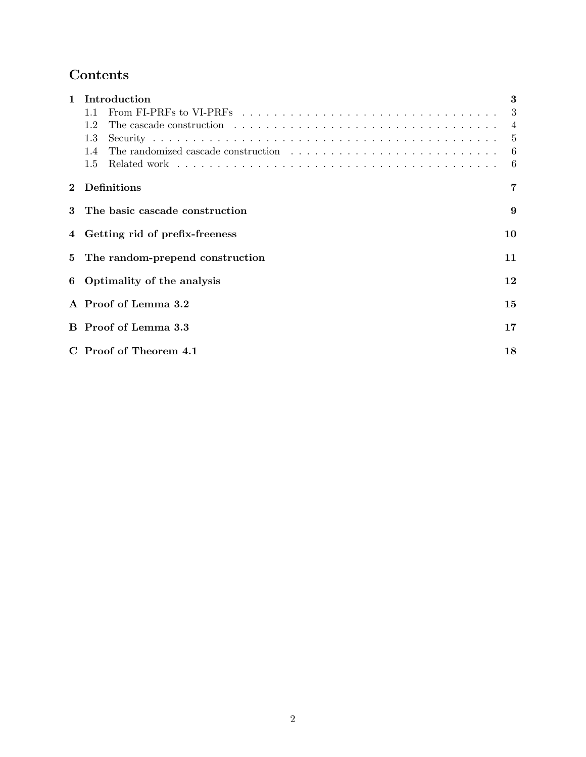# Contents

| $\mathbf{1}$ | Introduction                                                                                                         | 3              |
|--------------|----------------------------------------------------------------------------------------------------------------------|----------------|
|              | From FI-PRFs to VI-PRFs $\dots \dots \dots \dots \dots \dots \dots \dots \dots \dots \dots \dots \dots \dots$<br>1.1 | 3              |
|              | 1.2                                                                                                                  | $\overline{4}$ |
|              | 1.3                                                                                                                  | $\overline{5}$ |
|              | 1.4                                                                                                                  | 6              |
|              | 1.5                                                                                                                  | 6              |
| $\mathbf{2}$ | Definitions                                                                                                          | 7              |
| 3            | The basic cascade construction                                                                                       | 9              |
|              | 4 Getting rid of prefix-freeness                                                                                     | 10             |
|              | 5 The random-prepend construction                                                                                    | 11             |
|              | 6 Optimality of the analysis                                                                                         | 12             |
|              | A Proof of Lemma 3.2                                                                                                 | 15             |
|              | B Proof of Lemma 3.3                                                                                                 | 17             |
|              | C Proof of Theorem 4.1                                                                                               | 18             |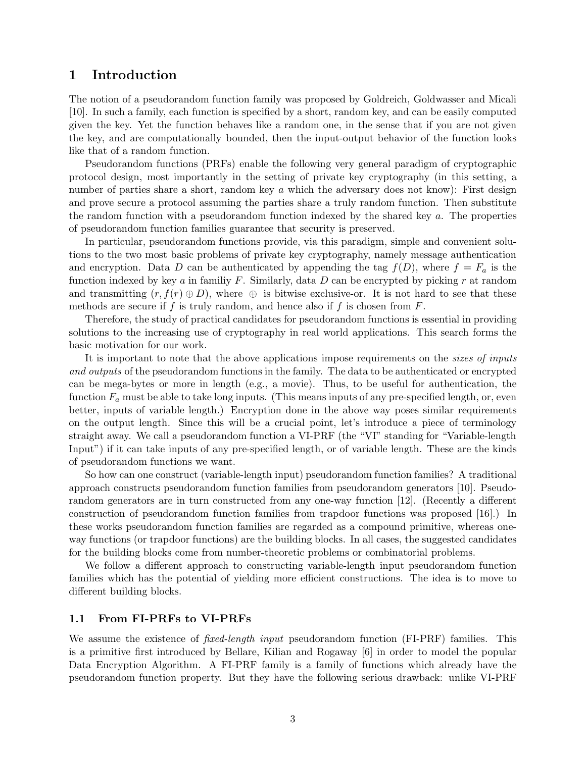## 1 Introduction

The notion of a pseudorandom function family was proposed by Goldreich, Goldwasser and Micali [10]. In such a family, each function is specified by a short, random key, and can be easily computed given the key. Yet the function behaves like a random one, in the sense that if you are not given the key, and are computationally bounded, then the input-output behavior of the function looks like that of a random function.

Pseudorandom functions (PRFs) enable the following very general paradigm of cryptographic protocol design, most importantly in the setting of private key cryptography (in this setting, a number of parties share a short, random key  $a$  which the adversary does not know): First design and prove secure a protocol assuming the parties share a truly random function. Then substitute the random function with a pseudorandom function indexed by the shared key a. The properties of pseudorandom function families guarantee that security is preserved.

In particular, pseudorandom functions provide, via this paradigm, simple and convenient solutions to the two most basic problems of private key cryptography, namely message authentication and encryption. Data D can be authenticated by appending the tag  $f(D)$ , where  $f = F_a$  is the function indexed by key a in familiy F. Similarly, data D can be encrypted by picking r at random and transmitting  $(r, f(r) \oplus D)$ , where  $\oplus$  is bitwise exclusive-or. It is not hard to see that these methods are secure if f is truly random, and hence also if f is chosen from  $F$ .

Therefore, the study of practical candidates for pseudorandom functions is essential in providing solutions to the increasing use of cryptography in real world applications. This search forms the basic motivation for our work.

It is important to note that the above applications impose requirements on the *sizes of inputs* and outputs of the pseudorandom functions in the family. The data to be authenticated or encrypted can be mega-bytes or more in length (e.g., a movie). Thus, to be useful for authentication, the function  $F_a$  must be able to take long inputs. (This means inputs of any pre-specified length, or, even better, inputs of variable length.) Encryption done in the above way poses similar requirements on the output length. Since this will be a crucial point, let's introduce a piece of terminology straight away. We call a pseudorandom function a VI-PRF (the "VI" standing for "Variable-length Input") if it can take inputs of any pre-specified length, or of variable length. These are the kinds of pseudorandom functions we want.

So how can one construct (variable-length input) pseudorandom function families? A traditional approach constructs pseudorandom function families from pseudorandom generators [10]. Pseudorandom generators are in turn constructed from any one-way function [12]. (Recently a different construction of pseudorandom function families from trapdoor functions was proposed [16].) In these works pseudorandom function families are regarded as a compound primitive, whereas oneway functions (or trapdoor functions) are the building blocks. In all cases, the suggested candidates for the building blocks come from number-theoretic problems or combinatorial problems.

We follow a different approach to constructing variable-length input pseudorandom function families which has the potential of yielding more efficient constructions. The idea is to move to different building blocks.

### 1.1 From FI-PRFs to VI-PRFs

We assume the existence of *fixed-length input* pseudorandom function (FI-PRF) families. This is a primitive first introduced by Bellare, Kilian and Rogaway [6] in order to model the popular Data Encryption Algorithm. A FI-PRF family is a family of functions which already have the pseudorandom function property. But they have the following serious drawback: unlike VI-PRF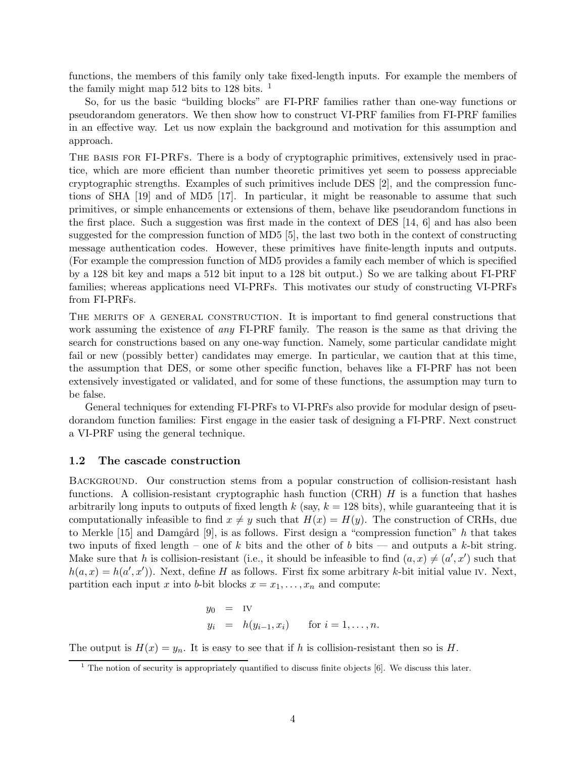functions, the members of this family only take fixed-length inputs. For example the members of the family might map 512 bits to 128 bits. <sup>1</sup>

So, for us the basic "building blocks" are FI-PRF families rather than one-way functions or pseudorandom generators. We then show how to construct VI-PRF families from FI-PRF families in an effective way. Let us now explain the background and motivation for this assumption and approach.

The basis for FI-PRFs. There is a body of cryptographic primitives, extensively used in practice, which are more efficient than number theoretic primitives yet seem to possess appreciable cryptographic strengths. Examples of such primitives include DES [2], and the compression functions of SHA [19] and of MD5 [17]. In particular, it might be reasonable to assume that such primitives, or simple enhancements or extensions of them, behave like pseudorandom functions in the first place. Such a suggestion was first made in the context of DES [14, 6] and has also been suggested for the compression function of MD5 [5], the last two both in the context of constructing message authentication codes. However, these primitives have finite-length inputs and outputs. (For example the compression function of MD5 provides a family each member of which is specified by a 128 bit key and maps a 512 bit input to a 128 bit output.) So we are talking about FI-PRF families; whereas applications need VI-PRFs. This motivates our study of constructing VI-PRFs from FI-PRFs.

THE MERITS OF A GENERAL CONSTRUCTION. It is important to find general constructions that work assuming the existence of *any* FI-PRF family. The reason is the same as that driving the search for constructions based on any one-way function. Namely, some particular candidate might fail or new (possibly better) candidates may emerge. In particular, we caution that at this time, the assumption that DES, or some other specific function, behaves like a FI-PRF has not been extensively investigated or validated, and for some of these functions, the assumption may turn to be false.

General techniques for extending FI-PRFs to VI-PRFs also provide for modular design of pseudorandom function families: First engage in the easier task of designing a FI-PRF. Next construct a VI-PRF using the general technique.

#### 1.2 The cascade construction

BACKGROUND. Our construction stems from a popular construction of collision-resistant hash functions. A collision-resistant cryptographic hash function  $(CRH)$  H is a function that hashes arbitrarily long inputs to outputs of fixed length k (say,  $k = 128$  bits), while guaranteeing that it is computationally infeasible to find  $x \neq y$  such that  $H(x) = H(y)$ . The construction of CRHs, due to Merkle [15] and Damgård [9], is as follows. First design a "compression function"  $h$  that takes two inputs of fixed length – one of k bits and the other of b bits — and outputs a k-bit string. Make sure that h is collision-resistant (i.e., it should be infeasible to find  $(a, x) \neq (a', x')$  such that  $h(a, x) = h(a', x')$ ). Next, define H as follows. First fix some arbitrary k-bit initial value IV. Next, partition each input x into b-bit blocks  $x = x_1, \ldots, x_n$  and compute:

$$
y_0 = \text{IV}
$$
  

$$
y_i = h(y_{i-1}, x_i) \quad \text{for } i = 1, \dots, n.
$$

The output is  $H(x) = y_n$ . It is easy to see that if h is collision-resistant then so is H.

 $1$  The notion of security is appropriately quantified to discuss finite objects  $[6]$ . We discuss this later.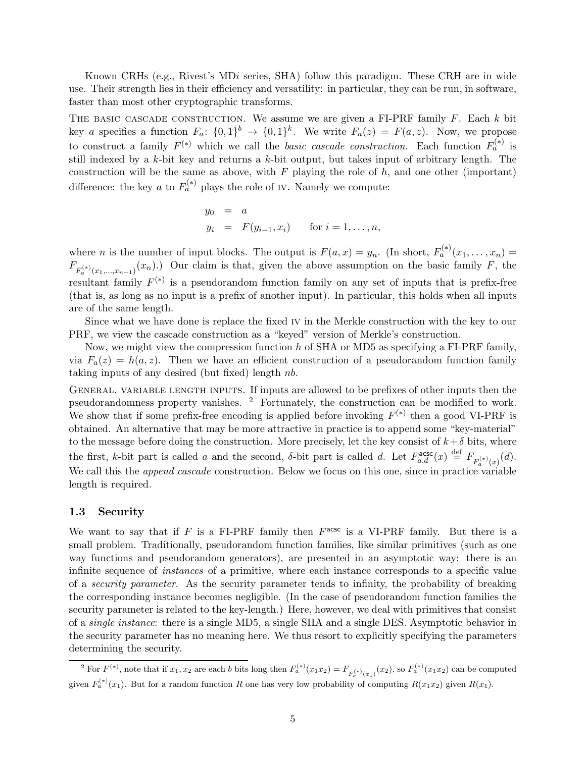Known CRHs (e.g., Rivest's MDi series, SHA) follow this paradigm. These CRH are in wide use. Their strength lies in their efficiency and versatility: in particular, they can be run, in software, faster than most other cryptographic transforms.

THE BASIC CASCADE CONSTRUCTION. We assume we are given a FI-PRF family  $F$ . Each  $k$  bit key a specifies a function  $F_a: \{0,1\}^b \to \{0,1\}^k$ . We write  $F_a(z) = F(a, z)$ . Now, we propose to construct a family  $F^{(*)}$  which we call the *basic cascade construction*. Each function  $F_a^{(*)}$  is still indexed by a k-bit key and returns a k-bit output, but takes input of arbitrary length. The construction will be the same as above, with  $F$  playing the role of  $h$ , and one other (important) difference: the key *a* to  $F_a^{(*)}$  plays the role of IV. Namely we compute:

$$
y_0 = a
$$
  
\n $y_i = F(y_{i-1}, x_i)$  for  $i = 1, ..., n$ ,

where *n* is the number of input blocks. The output is  $F(a,x) = y_n$ . (In short,  $F_a^{(*)}(x_1,\ldots,x_n) =$  $F_{F_a^{(*)}(x_1,...,x_{n-1})}(x_n)$ . Our claim is that, given the above assumption on the basic family F, the resultant family  $F^{(*)}$  is a pseudorandom function family on any set of inputs that is prefix-free (that is, as long as no input is a prefix of another input). In particular, this holds when all inputs are of the same length.

Since what we have done is replace the fixed iv in the Merkle construction with the key to our PRF, we view the cascade construction as a "keyed" version of Merkle's construction.

Now, we might view the compression function  $h$  of SHA or MD5 as specifying a FI-PRF family, via  $F_a(z) = h(a, z)$ . Then we have an efficient construction of a pseudorandom function family taking inputs of any desired (but fixed) length  $nb$ .

GENERAL, VARIABLE LENGTH INPUTS. If inputs are allowed to be prefixes of other inputs then the pseudorandomness property vanishes. <sup>2</sup> Fortunately, the construction can be modified to work. We show that if some prefix-free encoding is applied before invoking  $F^{(*)}$  then a good VI-PRF is obtained. An alternative that may be more attractive in practice is to append some "key-material" to the message before doing the construction. More precisely, let the key consist of  $k+\delta$  bits, where the first, k-bit part is called a and the second,  $\delta$ -bit part is called d. Let  $F_{a.d}^{\text{asc}}(x) \stackrel{\text{def}}{=} F_{F_a^{(*)}(x)}(d)$ . We call this the *append cascade* construction. Below we focus on this one, since in practice variable length is required.

### 1.3 Security

We want to say that if  $F$  is a FI-PRF family then  $F^{\text{acsc}}$  is a VI-PRF family. But there is a small problem. Traditionally, pseudorandom function families, like similar primitives (such as one way functions and pseudorandom generators), are presented in an asymptotic way: there is an infinite sequence of instances of a primitive, where each instance corresponds to a specific value of a security parameter. As the security parameter tends to infinity, the probability of breaking the corresponding instance becomes negligible. (In the case of pseudorandom function families the security parameter is related to the key-length.) Here, however, we deal with primitives that consist of a single instance: there is a single MD5, a single SHA and a single DES. Asymptotic behavior in the security parameter has no meaning here. We thus resort to explicitly specifying the parameters determining the security.

<sup>&</sup>lt;sup>2</sup> For  $F^{(*)}$ , note that if  $x_1, x_2$  are each b bits long then  $F_a^{(*)}(x_1x_2) = F_{F_a^{(*)}(x_1)}(x_2)$ , so  $F_a^{(*)}(x_1x_2)$  can be computed given  $F_a^{(*)}(x_1)$ . But for a random function R one has very low probability of computing  $R(x_1x_2)$  given  $R(x_1)$ .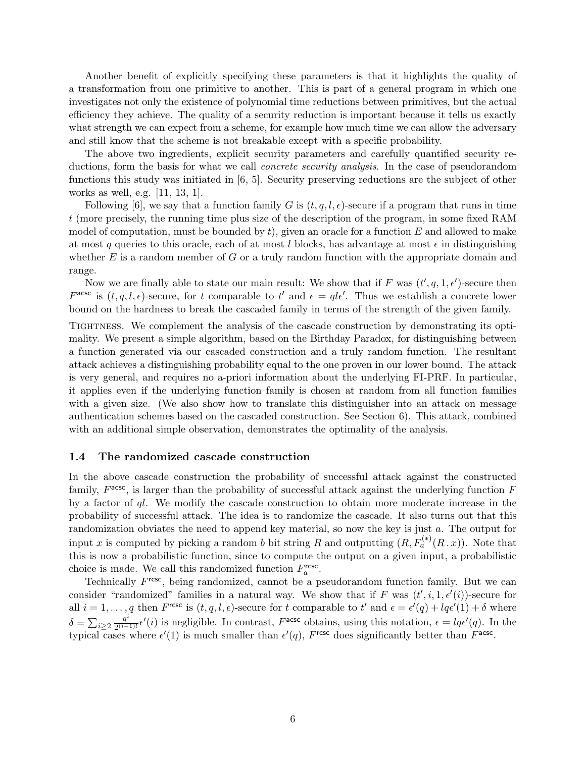Another benefit of explicitly specifying these parameters is that it highlights the quality of a transformation from one primitive to another. This is part of a general program in which one investigates not only the existence of polynomial time reductions between primitives, but the actual efficiency they achieve. The quality of a security reduction is important because it tells us exactly what strength we can expect from a scheme, for example how much time we can allow the adversary and still know that the scheme is not breakable except with a specific probability.

The above two ingredients, explicit security parameters and carefully quantified security reductions, form the basis for what we call *concrete security analysis*. In the case of pseudorandom functions this study was initiated in [6, 5]. Security preserving reductions are the subject of other works as well, e.g. [11, 13, 1].

Following [6], we say that a function family G is  $(t, q, l, \epsilon)$ -secure if a program that runs in time t (more precisely, the running time plus size of the description of the program, in some fixed RAM model of computation, must be bounded by t), given an oracle for a function E and allowed to make at most q queries to this oracle, each of at most l blocks, has advantage at most  $\epsilon$  in distinguishing whether  $E$  is a random member of  $G$  or a truly random function with the appropriate domain and range.

Now we are finally able to state our main result: We show that if F was  $(t', q, 1, \epsilon')$ -secure then  $F^{\text{acsc}}$  is  $(t, q, l, \epsilon)$ -secure, for t comparable to t' and  $\epsilon = q l \epsilon'$ . Thus we establish a concrete lower bound on the hardness to break the cascaded family in terms of the strength of the given family.

Tightness. We complement the analysis of the cascade construction by demonstrating its optimality. We present a simple algorithm, based on the Birthday Paradox, for distinguishing between a function generated via our cascaded construction and a truly random function. The resultant attack achieves a distinguishing probability equal to the one proven in our lower bound. The attack is very general, and requires no a-priori information about the underlying FI-PRF. In particular, it applies even if the underlying function family is chosen at random from all function families with a given size. (We also show how to translate this distinguisher into an attack on message authentication schemes based on the cascaded construction. See Section 6). This attack, combined with an additional simple observation, demonstrates the optimality of the analysis.

#### 1.4 The randomized cascade construction

In the above cascade construction the probability of successful attack against the constructed family,  $F^{\text{acsc}}$ , is larger than the probability of successful attack against the underlying function  $F$ by a factor of  $ql$ . We modify the cascade construction to obtain more moderate increase in the probability of successful attack. The idea is to randomize the cascade. It also turns out that this randomization obviates the need to append key material, so now the key is just a. The output for input x is computed by picking a random b bit string R and outputting  $(R, F_a^{(*)}(R \cdot x))$ . Note that this is now a probabilistic function, since to compute the output on a given input, a probabilistic choice is made. We call this randomized function  $F_a^{\text{rcsc}}$ .

Technically  $F^{\text{rcs}}$ , being randomized, cannot be a pseudorandom function family. But we can consider "randomized" families in a natural way. We show that if F was  $(t', i, 1, \epsilon'(i))$ -secure for all  $i = 1, \ldots, q$  then  $F^{\text{resc}}$  is  $(t, q, l, \epsilon)$ -secure for t comparable to t' and  $\epsilon = \epsilon'(q) + lq\epsilon'(1) + \delta$  where  $\delta = \sum_{i\geq 2} \frac{q^i}{2^{(i-1)}}$  $\frac{q^{i}}{2^{(i-1)!}}\epsilon'(i)$  is negligible. In contrast,  $F^{\text{acsc}}$  obtains, using this notation,  $\epsilon = lq\epsilon'(q)$ . In the typical cases where  $\epsilon'(1)$  is much smaller than  $\epsilon'(q)$ , Fresc does significantly better than  $F^{\text{acsc}}$ .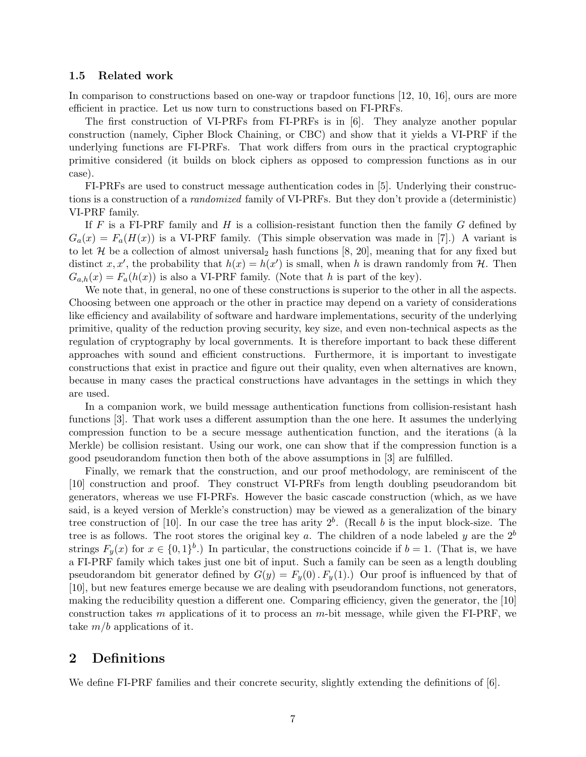#### 1.5 Related work

In comparison to constructions based on one-way or trapdoor functions [12, 10, 16], ours are more efficient in practice. Let us now turn to constructions based on FI-PRFs.

The first construction of VI-PRFs from FI-PRFs is in [6]. They analyze another popular construction (namely, Cipher Block Chaining, or CBC) and show that it yields a VI-PRF if the underlying functions are FI-PRFs. That work differs from ours in the practical cryptographic primitive considered (it builds on block ciphers as opposed to compression functions as in our case).

FI-PRFs are used to construct message authentication codes in [5]. Underlying their constructions is a construction of a randomized family of VI-PRFs. But they don't provide a (deterministic) VI-PRF family.

If F is a FI-PRF family and H is a collision-resistant function then the family  $G$  defined by  $G_a(x) = F_a(H(x))$  is a VI-PRF family. (This simple observation was made in [7].) A variant is to let  $H$  be a collection of almost universal<sub>2</sub> hash functions [8, 20], meaning that for any fixed but distinct x, x', the probability that  $h(x) = h(x')$  is small, when h is drawn randomly from H. Then  $G_{a,h}(x) = F_a(h(x))$  is also a VI-PRF family. (Note that h is part of the key).

We note that, in general, no one of these constructions is superior to the other in all the aspects. Choosing between one approach or the other in practice may depend on a variety of considerations like efficiency and availability of software and hardware implementations, security of the underlying primitive, quality of the reduction proving security, key size, and even non-technical aspects as the regulation of cryptography by local governments. It is therefore important to back these different approaches with sound and efficient constructions. Furthermore, it is important to investigate constructions that exist in practice and figure out their quality, even when alternatives are known, because in many cases the practical constructions have advantages in the settings in which they are used.

In a companion work, we build message authentication functions from collision-resistant hash functions [3]. That work uses a different assumption than the one here. It assumes the underlying compression function to be a secure message authentication function, and the iterations ( $\hat{a}$  la Merkle) be collision resistant. Using our work, one can show that if the compression function is a good pseudorandom function then both of the above assumptions in [3] are fulfilled.

Finally, we remark that the construction, and our proof methodology, are reminiscent of the [10] construction and proof. They construct VI-PRFs from length doubling pseudorandom bit generators, whereas we use FI-PRFs. However the basic cascade construction (which, as we have said, is a keyed version of Merkle's construction) may be viewed as a generalization of the binary tree construction of [10]. In our case the tree has arity  $2<sup>b</sup>$ . (Recall b is the input block-size. The tree is as follows. The root stores the original key a. The children of a node labeled y are the  $2^b$ strings  $F_y(x)$  for  $x \in \{0,1\}^b$ .) In particular, the constructions coincide if  $b=1$ . (That is, we have a FI-PRF family which takes just one bit of input. Such a family can be seen as a length doubling pseudorandom bit generator defined by  $G(y) = F_y(0)$ .  $F_y(1)$ . Our proof is influenced by that of [10], but new features emerge because we are dealing with pseudorandom functions, not generators, making the reducibility question a different one. Comparing efficiency, given the generator, the [10] construction takes m applications of it to process an m-bit message, while given the FI-PRF, we take  $m/b$  applications of it.

# 2 Definitions

We define FI-PRF families and their concrete security, slightly extending the definitions of [6].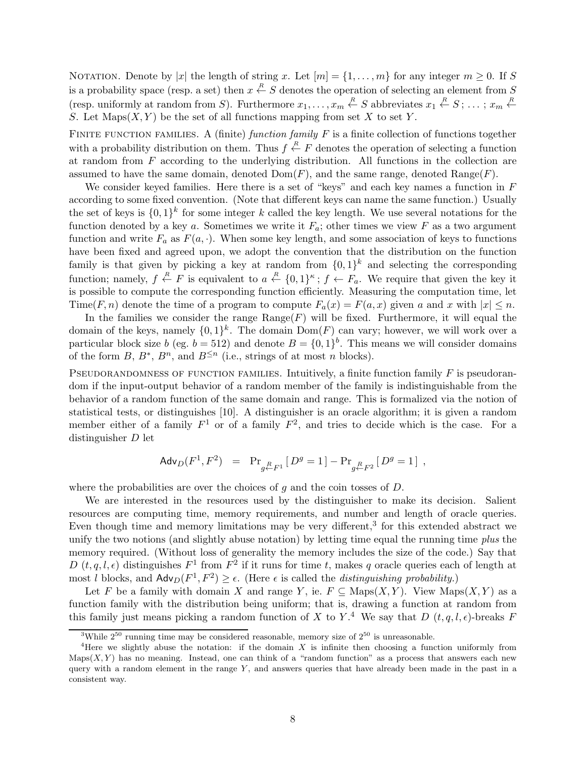NOTATION. Denote by |x| the length of string x. Let  $[m] = \{1, \ldots, m\}$  for any integer  $m \geq 0$ . If S is a probability space (resp. a set) then  $x \stackrel{R}{\leftarrow} S$  denotes the operation of selecting an element from S (resp. uniformly at random from S). Furthermore  $x_1, \ldots, x_m \stackrel{R}{\leftarrow} S$  abbreviates  $x_1 \stackrel{R}{\leftarrow} S; \ldots; x_m \stackrel{R}{\leftarrow} S$ S. Let  $\text{Maps}(X, Y)$  be the set of all functions mapping from set X to set Y.

FINITE FUNCTION FAMILIES. A (finite) function family  $F$  is a finite collection of functions together with a probability distribution on them. Thus  $f \stackrel{R}{\leftarrow} F$  denotes the operation of selecting a function at random from  $F$  according to the underlying distribution. All functions in the collection are assumed to have the same domain, denoted  $Dom(F)$ , and the same range, denoted  $Range(F)$ .

We consider keyed families. Here there is a set of "keys" and each key names a function in  $F$ according to some fixed convention. (Note that different keys can name the same function.) Usually the set of keys is  $\{0,1\}^k$  for some integer k called the key length. We use several notations for the function denoted by a key a. Sometimes we write it  $F_a$ ; other times we view F as a two argument function and write  $F_a$  as  $F(a, \cdot)$ . When some key length, and some association of keys to functions have been fixed and agreed upon, we adopt the convention that the distribution on the function family is that given by picking a key at random from  $\{0,1\}^k$  and selecting the corresponding function; namely,  $f \stackrel{R}{\leftarrow} F$  is equivalent to  $a \stackrel{R}{\leftarrow} \{0,1\}^{\kappa}$ ;  $f \leftarrow F_a$ . We require that given the key it is possible to compute the corresponding function efficiently. Measuring the computation time, let Time(F, n) denote the time of a program to compute  $F_a(x) = F(a, x)$  given a and x with  $|x| \leq n$ .

In the families we consider the range  $\text{Range}(F)$  will be fixed. Furthermore, it will equal the domain of the keys, namely  $\{0,1\}^k$ . The domain  $Dom(F)$  can vary; however, we will work over a particular block size b (eg.  $b = 512$ ) and denote  $B = \{0, 1\}^b$ . This means we will consider domains of the form  $B, B^*, B^n$ , and  $B^{\leq n}$  (i.e., strings of at most *n* blocks).

PSEUDORANDOMNESS OF FUNCTION FAMILIES. Intuitively, a finite function family  $F$  is pseudorandom if the input-output behavior of a random member of the family is indistinguishable from the behavior of a random function of the same domain and range. This is formalized via the notion of statistical tests, or distinguishes [10]. A distinguisher is an oracle algorithm; it is given a random member either of a family  $F^1$  or of a family  $F^2$ , and tries to decide which is the case. For a distinguisher D let

$$
\mathsf{Adv}_D(F^1,F^2) \;\; = \;\; \Pr_{g \xleftarrow{R} P^1} \left[ \, D^g = 1 \, \right] - \Pr_{g \xleftarrow{R} P^2} \left[ \, D^g = 1 \, \right] \; ,
$$

where the probabilities are over the choices of  $g$  and the coin tosses of  $D$ .

We are interested in the resources used by the distinguisher to make its decision. Salient resources are computing time, memory requirements, and number and length of oracle queries. Even though time and memory limitations may be very different,<sup>3</sup> for this extended abstract we unify the two notions (and slightly abuse notation) by letting time equal the running time *plus* the memory required. (Without loss of generality the memory includes the size of the code.) Say that D  $(t, q, l, \epsilon)$  distinguishes  $F^1$  from  $F^2$  if it runs for time t, makes q oracle queries each of length at most l blocks, and  $\mathsf{Adv}_D(F^1, F^2) \ge \epsilon$ . (Here  $\epsilon$  is called the *distinguishing probability*.)

Let F be a family with domain X and range Y, ie.  $F \subseteq \text{Maps}(X, Y)$ . View  $\text{Maps}(X, Y)$  as a function family with the distribution being uniform; that is, drawing a function at random from this family just means picking a random function of X to Y.<sup>4</sup> We say that D  $(t, q, l, \epsilon)$ -breaks F

<sup>&</sup>lt;sup>3</sup>While  $2^{50}$  running time may be considered reasonable, memory size of  $2^{50}$  is unreasonable.

<sup>&</sup>lt;sup>4</sup>Here we slightly abuse the notation: if the domain X is infinite then choosing a function uniformly from  $\text{Maps}(X, Y)$  has no meaning. Instead, one can think of a "random function" as a process that answers each new query with a random element in the range  $Y$ , and answers queries that have already been made in the past in a consistent way.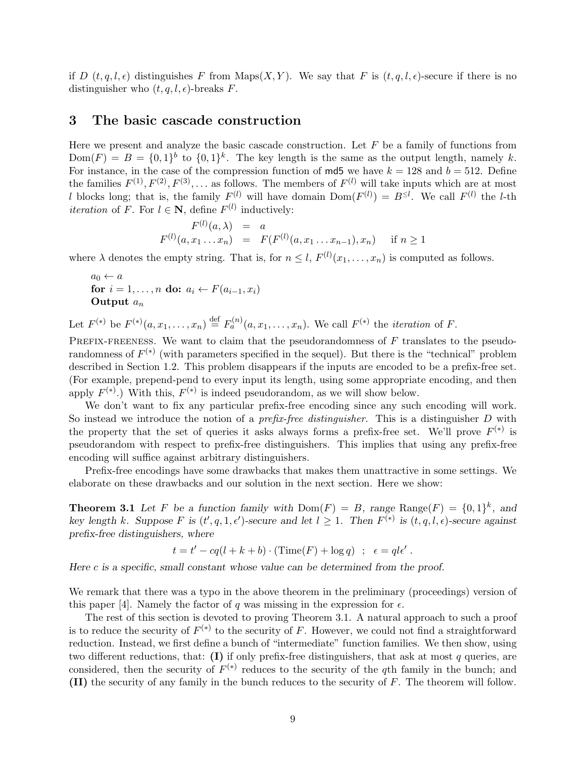if D  $(t, q, l, \epsilon)$  distinguishes F from Maps $(X, Y)$ . We say that F is  $(t, q, l, \epsilon)$ -secure if there is no distinguisher who  $(t, q, l, \epsilon)$ -breaks F.

## 3 The basic cascade construction

Here we present and analyze the basic cascade construction. Let  $F$  be a family of functions from  $Dom(F) = B = \{0,1\}^b$  to  $\{0,1\}^k$ . The key length is the same as the output length, namely k. For instance, in the case of the compression function of  $m d5$  we have  $k = 128$  and  $b = 512$ . Define the families  $F^{(1)}, F^{(2)}, F^{(3)}, \ldots$  as follows. The members of  $F^{(l)}$  will take inputs which are at most l blocks long; that is, the family  $F^{(l)}$  will have domain  $Dom(F^{(l)}) = B^{\leq l}$ . We call  $F^{(l)}$  the l-th *iteration* of F. For  $l \in \mathbb{N}$ , define  $F^{(l)}$  inductively:

$$
F^{(l)}(a,\lambda) = a
$$
  
 
$$
F^{(l)}(a,x_1...x_n) = F(F^{(l)}(a,x_1...x_{n-1}),x_n) \text{ if } n \ge 1
$$

where  $\lambda$  denotes the empty string. That is, for  $n \leq l$ ,  $F^{(l)}(x_1, \ldots, x_n)$  is computed as follows.

$$
a_0 \leftarrow a
$$
  
for  $i = 1, ..., n$  do:  $a_i \leftarrow F(a_{i-1}, x_i)$   
Output  $a_n$ 

Let  $F^{(*)}$  be  $F^{(*)}(a, x_1, \ldots, x_n) \stackrel{\text{def}}{=} F_a^{(n)}(a, x_1, \ldots, x_n)$ . We call  $F^{(*)}$  the *iteration* of F.

PREFIX-FREENESS. We want to claim that the pseudorandomness of  $F$  translates to the pseudorandomness of  $F^{(*)}$  (with parameters specified in the sequel). But there is the "technical" problem described in Section 1.2. This problem disappears if the inputs are encoded to be a prefix-free set. (For example, prepend-pend to every input its length, using some appropriate encoding, and then apply  $F^{(*)}$ .) With this,  $F^{(*)}$  is indeed pseudorandom, as we will show below.

We don't want to fix any particular prefix-free encoding since any such encoding will work. So instead we introduce the notion of a *prefix-free distinguisher*. This is a distinguisher  $D$  with the property that the set of queries it asks always forms a prefix-free set. We'll prove  $F^{(*)}$  is pseudorandom with respect to prefix-free distinguishers. This implies that using any prefix-free encoding will suffice against arbitrary distinguishers.

Prefix-free encodings have some drawbacks that makes them unattractive in some settings. We elaborate on these drawbacks and our solution in the next section. Here we show:

**Theorem 3.1** Let F be a function family with  $Dom(F) = B$ , range Range $(F) = \{0,1\}^k$ , and key length k. Suppose F is  $(t', q, 1, \epsilon')$ -secure and let  $l \geq 1$ . Then  $F^{(*)}$  is  $(t, q, l, \epsilon)$ -secure against prefix-free distinguishers, where

$$
t = t' - cq(l + k + b) \cdot (\text{Time}(F) + \log q) \quad ; \quad \epsilon = q l \epsilon' \ .
$$

Here c is a specific, small constant whose value can be determined from the proof.

We remark that there was a typo in the above theorem in the preliminary (proceedings) version of this paper [4]. Namely the factor of q was missing in the expression for  $\epsilon$ .

The rest of this section is devoted to proving Theorem 3.1. A natural approach to such a proof is to reduce the security of  $F^{(*)}$  to the security of F. However, we could not find a straightforward reduction. Instead, we first define a bunch of "intermediate" function families. We then show, using two different reductions, that:  $(I)$  if only prefix-free distinguishers, that ask at most q queries, are considered, then the security of  $F^{(*)}$  reduces to the security of the q<sup>th</sup> family in the bunch; and (II) the security of any family in the bunch reduces to the security of F. The theorem will follow.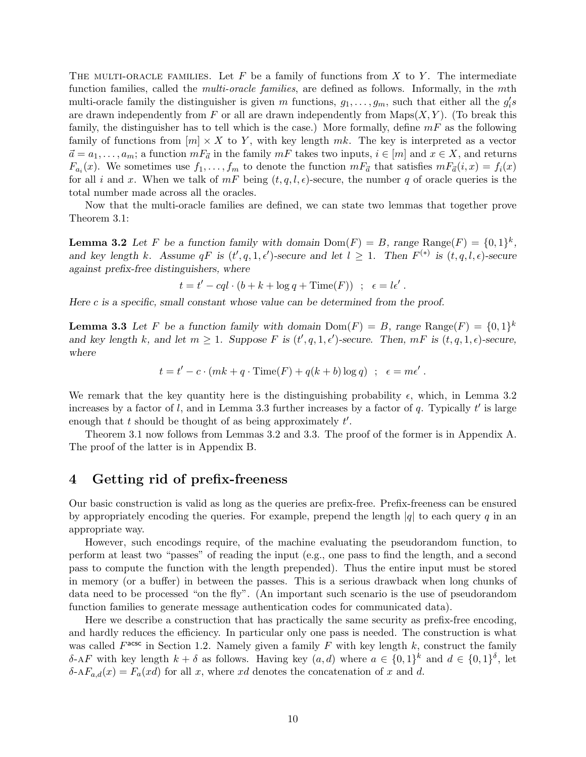THE MULTI-ORACLE FAMILIES. Let F be a family of functions from X to Y. The intermediate function families, called the *multi-oracle families*, are defined as follows. Informally, in the *mth* multi-oracle family the distinguisher is given m functions,  $g_1, \ldots, g_m$ , such that either all the  $g_i's$ are drawn independently from F or all are drawn independently from  $\text{Maps}(X, Y)$ . (To break this family, the distinguisher has to tell which is the case.) More formally, define  $mF$  as the following family of functions from  $[m] \times X$  to Y, with key length mk. The key is interpreted as a vector  $\vec{a} = a_1, \ldots, a_m$ ; a function  $mF_{\vec{a}}$  in the family  $mF$  takes two inputs,  $i \in [m]$  and  $x \in X$ , and returns  $F_{a_i}(x)$ . We sometimes use  $f_1, \ldots, f_m$  to denote the function  $mF_{\vec{a}}$  that satisfies  $mF_{\vec{a}}(i, x) = f_i(x)$ for all i and x. When we talk of  $mF$  being  $(t, q, l, \epsilon)$ -secure, the number q of oracle queries is the total number made across all the oracles.

Now that the multi-oracle families are defined, we can state two lemmas that together prove Theorem 3.1:

**Lemma 3.2** Let F be a function family with domain  $Dom(F) = B$ , range  $Range(F) = \{0,1\}^k$ , and key length k. Assume  $qF$  is  $(t', q, 1, \epsilon')$ -secure and let  $l \geq 1$ . Then  $F^{(*)}$  is  $(t, q, l, \epsilon)$ -secure against prefix-free distinguishers, where

$$
t = t' - cql \cdot (b + k + \log q + \text{Time}(F)) \quad ; \quad \epsilon = l\epsilon' \; .
$$

Here c is a specific, small constant whose value can be determined from the proof.

**Lemma 3.3** Let F be a function family with domain  $Dom(F) = B$ , range  $Range(F) = \{0,1\}^k$ and key length k, and let  $m \geq 1$ . Suppose F is  $(t', q, 1, \epsilon')$ -secure. Then,  $mF$  is  $(t, q, 1, \epsilon)$ -secure, where

 $t = t' - c \cdot (mk + q \cdot \text{Time}(F) + q(k + b) \log q)$ ;  $\epsilon = m\epsilon'$ .

We remark that the key quantity here is the distinguishing probability  $\epsilon$ , which, in Lemma 3.2 increases by a factor of l, and in Lemma 3.3 further increases by a factor of q. Typically  $t'$  is large enough that  $t$  should be thought of as being approximately  $t'$ .

Theorem 3.1 now follows from Lemmas 3.2 and 3.3. The proof of the former is in Appendix A. The proof of the latter is in Appendix B.

## 4 Getting rid of prefix-freeness

Our basic construction is valid as long as the queries are prefix-free. Prefix-freeness can be ensured by appropriately encoding the queries. For example, prepend the length  $|q|$  to each query q in an appropriate way.

However, such encodings require, of the machine evaluating the pseudorandom function, to perform at least two "passes" of reading the input (e.g., one pass to find the length, and a second pass to compute the function with the length prepended). Thus the entire input must be stored in memory (or a buffer) in between the passes. This is a serious drawback when long chunks of data need to be processed "on the fly". (An important such scenario is the use of pseudorandom function families to generate message authentication codes for communicated data).

Here we describe a construction that has practically the same security as prefix-free encoding, and hardly reduces the efficiency. In particular only one pass is needed. The construction is what was called  $F^{\text{acsc}}$  in Section 1.2. Namely given a family F with key length k, construct the family δ-AF with key length  $k + \delta$  as follows. Having key  $(a, d)$  where  $a \in \{0, 1\}^k$  and  $d \in \{0, 1\}^{\delta}$ , let  $\delta$ -A $F_{a,d}(x) = F_a(xd)$  for all x, where xd denotes the concatenation of x and d.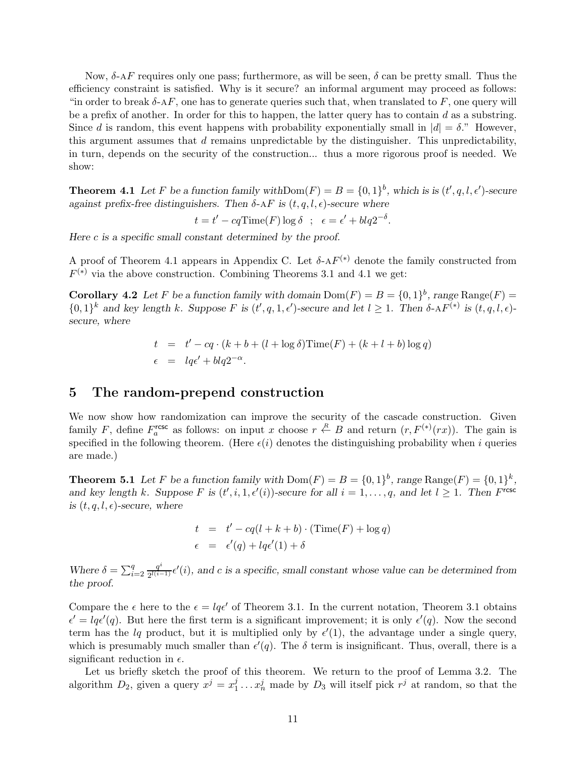Now,  $\delta$ -AF requires only one pass; furthermore, as will be seen,  $\delta$  can be pretty small. Thus the efficiency constraint is satisfied. Why is it secure? an informal argument may proceed as follows: "in order to break  $\delta$ -AF, one has to generate queries such that, when translated to F, one query will be a prefix of another. In order for this to happen, the latter query has to contain  $d$  as a substring. Since d is random, this event happens with probability exponentially small in  $|d| = \delta$ ." However, this argument assumes that  $d$  remains unpredictable by the distinguisher. This unpredictability, in turn, depends on the security of the construction... thus a more rigorous proof is needed. We show:

**Theorem 4.1** Let F be a function family with  $Dom(F) = B = \{0, 1\}^b$ , which is is  $(t', q, l, \epsilon')$ -secure against prefix-free distinguishers. Then  $\delta$ -AF is  $(t, q, l, \epsilon)$ -secure where

 $t = t' - cqTime(F) \log \delta \; ; \; \; \epsilon = \epsilon' + blq2^{-\delta}.$ 

Here  $c$  is a specific small constant determined by the proof.

A proof of Theorem 4.1 appears in Appendix C. Let  $\delta$ -A $F^{(*)}$  denote the family constructed from  $F^{(*)}$  via the above construction. Combining Theorems 3.1 and 4.1 we get:

**Corollary 4.2** Let F be a function family with domain  $Dom(F) = B = \{0, 1\}^b$ , range  $Range(F) =$  $\{0,1\}^k$  and key length k. Suppose F is  $(t', q, 1, \epsilon')$ -secure and let  $l \geq 1$ . Then  $\delta$ -AF<sup>(\*)</sup> is  $(t, q, l, \epsilon)$ secure, where

$$
t = t' - cq \cdot (k + b + (l + \log \delta) \text{Time}(F) + (k + l + b) \log q)
$$
  

$$
\epsilon = lqe' + blq2^{-\alpha}.
$$

## 5 The random-prepend construction

We now show how randomization can improve the security of the cascade construction. Given family F, define  $F_a^{\text{rcsc}}$  as follows: on input x choose  $r \stackrel{R}{\leftarrow} B$  and return  $(r, F^{(*)}(rx))$ . The gain is specified in the following theorem. (Here  $\epsilon(i)$  denotes the distinguishing probability when i queries are made.)

**Theorem 5.1** Let F be a function family with  $Dom(F) = B = \{0, 1\}^b$ , range  $Range(F) = \{0, 1\}^k$ , and key length k. Suppose F is  $(t', i, 1, \epsilon'(i))$ -secure for all  $i = 1, ..., q$ , and let  $l \ge 1$ . Then F<sup>resc</sup> is  $(t, q, l, \epsilon)$ -secure, where

$$
t = t' - cq(l + k + b) \cdot (\text{Time}(F) + \log q)
$$
  

$$
\epsilon = \epsilon'(q) + lqe'(1) + \delta
$$

Where  $\delta = \sum_{i=2}^{q} \frac{q^i}{2^{l(i-1)}}$  $\frac{q^{i}}{2^{l(i-1)}}\epsilon'(i)$ , and c is a specific, small constant whose value can be determined from the proof.

Compare the  $\epsilon$  here to the  $\epsilon = lq\epsilon'$  of Theorem 3.1. In the current notation, Theorem 3.1 obtains  $\epsilon' = lq\epsilon'(q)$ . But here the first term is a significant improvement; it is only  $\epsilon'(q)$ . Now the second term has the lq product, but it is multiplied only by  $\epsilon'(1)$ , the advantage under a single query, which is presumably much smaller than  $\epsilon'(q)$ . The  $\delta$  term is insignificant. Thus, overall, there is a significant reduction in  $\epsilon$ .

Let us briefly sketch the proof of this theorem. We return to the proof of Lemma 3.2. The algorithm  $D_2$ , given a query  $x^j = x_1^j$  $j_1^j \ldots x_n^j$  made by  $D_3$  will itself pick  $r^j$  at random, so that the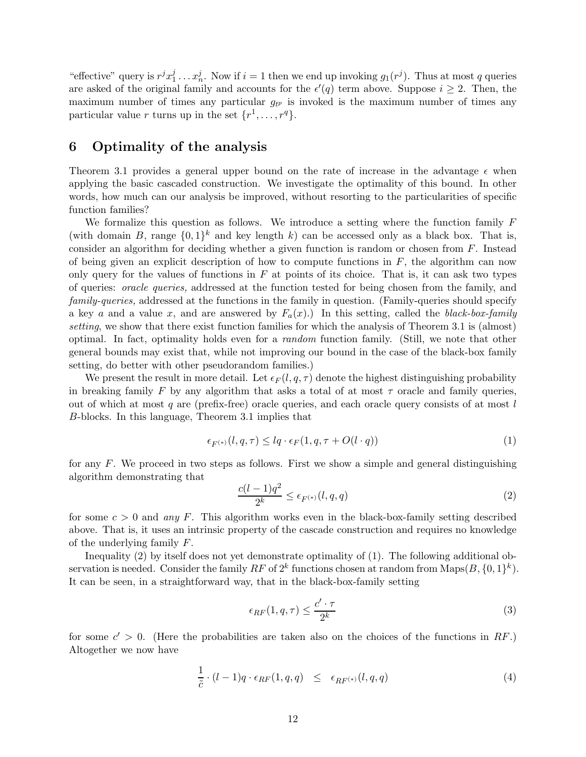" effective" query is  $r^j x_1^j$  $j_1^j \ldots x_n^j$ . Now if  $i = 1$  then we end up invoking  $g_1(r^j)$ . Thus at most q queries are asked of the original family and accounts for the  $\epsilon'(q)$  term above. Suppose  $i \geq 2$ . Then, the maximum number of times any particular  $g_{t}$  is invoked is the maximum number of times any particular value r turns up in the set  $\{r^1, \ldots, r^q\}.$ 

# 6 Optimality of the analysis

Theorem 3.1 provides a general upper bound on the rate of increase in the advantage  $\epsilon$  when applying the basic cascaded construction. We investigate the optimality of this bound. In other words, how much can our analysis be improved, without resorting to the particularities of specific function families?

We formalize this question as follows. We introduce a setting where the function family  $F$ (with domain B, range  $\{0,1\}^k$  and key length k) can be accessed only as a black box. That is, consider an algorithm for deciding whether a given function is random or chosen from  $F$ . Instead of being given an explicit description of how to compute functions in  $F$ , the algorithm can now only query for the values of functions in  $F$  at points of its choice. That is, it can ask two types of queries: oracle queries, addressed at the function tested for being chosen from the family, and family-queries, addressed at the functions in the family in question. (Family-queries should specify a key a and a value x, and are answered by  $F_a(x)$ .) In this setting, called the black-box-family setting, we show that there exist function families for which the analysis of Theorem 3.1 is (almost) optimal. In fact, optimality holds even for a random function family. (Still, we note that other general bounds may exist that, while not improving our bound in the case of the black-box family setting, do better with other pseudorandom families.)

We present the result in more detail. Let  $\epsilon_F(l, q, \tau)$  denote the highest distinguishing probability in breaking family F by any algorithm that asks a total of at most  $\tau$  oracle and family queries, out of which at most q are (prefix-free) oracle queries, and each oracle query consists of at most  $l$ B-blocks. In this language, Theorem 3.1 implies that

$$
\epsilon_{F^{(*)}}(l,q,\tau) \le lq \cdot \epsilon_F(1,q,\tau + O(l \cdot q)) \tag{1}
$$

for any F. We proceed in two steps as follows. First we show a simple and general distinguishing algorithm demonstrating that

$$
\frac{c(l-1)q^2}{2^k} \le \epsilon_{F^{(*)}}(l,q,q) \tag{2}
$$

for some  $c > 0$  and any F. This algorithm works even in the black-box-family setting described above. That is, it uses an intrinsic property of the cascade construction and requires no knowledge of the underlying family F.

Inequality (2) by itself does not yet demonstrate optimality of (1). The following additional observation is needed. Consider the family  $RF$  of  $2^k$  functions chosen at random from  $\text{Maps}(B, \{0, 1\}^k)$ . It can be seen, in a straightforward way, that in the black-box-family setting

$$
\epsilon_{RF}(1,q,\tau) \le \frac{c' \cdot \tau}{2^k} \tag{3}
$$

for some  $c' > 0$ . (Here the probabilities are taken also on the choices of the functions in RF.) Altogether we now have

$$
\frac{1}{\tilde{c}} \cdot (l-1)q \cdot \epsilon_{RF}(1,q,q) \leq \epsilon_{RF^{(*)}}(l,q,q) \tag{4}
$$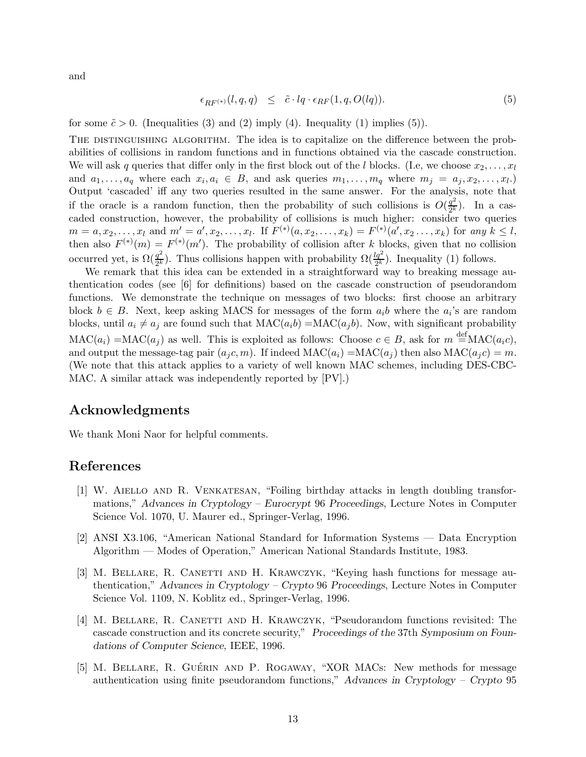and

$$
\epsilon_{RF^{(*)}}(l,q,q) \leq \tilde{c} \cdot lq \cdot \epsilon_{RF}(1,q,O(lq)). \tag{5}
$$

for some  $\tilde{c} > 0$ . (Inequalities (3) and (2) imply (4). Inequality (1) implies (5)).

THE DISTINGUISHING ALGORITHM. The idea is to capitalize on the difference between the probabilities of collisions in random functions and in functions obtained via the cascade construction. We will ask q queries that differ only in the first block out of the l blocks. (I.e, we choose  $x_2, \ldots, x_l$ and  $a_1, \ldots, a_q$  where each  $x_i, a_i \in B$ , and ask queries  $m_1, \ldots, m_q$  where  $m_j = a_j, x_2, \ldots, x_l$ . Output 'cascaded' iff any two queries resulted in the same answer. For the analysis, note that if the oracle is a random function, then the probability of such collisions is  $O(\frac{q^2}{2k})$  $\frac{q^2}{2^k}$ ). In a cascaded construction, however, the probability of collisions is much higher: consider two queries  $m = a, x_2, \ldots, x_l$  and  $m' = a', x_2, \ldots, x_l$ . If  $F^{(*)}(a, x_2, \ldots, x_k) = F^{(*)}(a', x_2, \ldots, x_k)$  for any  $k \leq l$ , then also  $F^{(*)}(m) = F^{(*)}(m')$ . The probability of collision after k blocks, given that no collision occurred yet, is  $\Omega(\frac{q^2}{2k})$  $\frac{q^2}{2^k}$ ). Thus collisions happen with probability  $\Omega(\frac{lq^2}{2^k})$ . Inequality (1) follows.

We remark that this idea can be extended in a straightforward way to breaking message authentication codes (see [6] for definitions) based on the cascade construction of pseudorandom functions. We demonstrate the technique on messages of two blocks: first choose an arbitrary block  $b \in B$ . Next, keep asking MACS for messages of the form  $a_i b$  where the  $a_i$ 's are random blocks, until  $a_i \neq a_j$  are found such that  $MAC(a_i b) = MAC(a_j b)$ . Now, with significant probability  $MAC(a_i) = MAC(a_j)$  as well. This is exploited as follows: Choose  $c \in B$ , ask for  $m \stackrel{\text{def}}{=} MAC(a_i c)$ , and output the message-tag pair  $(a_i c, m)$ . If indeed  $MAC(a_i) = MAC(a_i)$  then also  $MAC(a_i c) = m$ . (We note that this attack applies to a variety of well known MAC schemes, including DES-CBC-MAC. A similar attack was independently reported by [PV].)

# Acknowledgments

We thank Moni Naor for helpful comments.

# References

- [1] W. Aiello and R. Venkatesan, "Foiling birthday attacks in length doubling transformations," Advances in Cryptology – Eurocrypt 96 Proceedings, Lecture Notes in Computer Science Vol. 1070, U. Maurer ed., Springer-Verlag, 1996.
- [2] ANSI X3.106, "American National Standard for Information Systems Data Encryption Algorithm — Modes of Operation," American National Standards Institute, 1983.
- [3] M. Bellare, R. Canetti and H. Krawczyk, "Keying hash functions for message authentication," Advances in Cryptology – Crypto 96 Proceedings, Lecture Notes in Computer Science Vol. 1109, N. Koblitz ed., Springer-Verlag, 1996.
- [4] M. Bellare, R. Canetti and H. Krawczyk, "Pseudorandom functions revisited: The cascade construction and its concrete security," Proceedings of the 37th Symposium on Foundations of Computer Science, IEEE, 1996.
- [5] M. BELLARE, R. GUÉRIN AND P. ROGAWAY, "XOR MACS: New methods for message authentication using finite pseudorandom functions," Advances in Cryptology – Crypto 95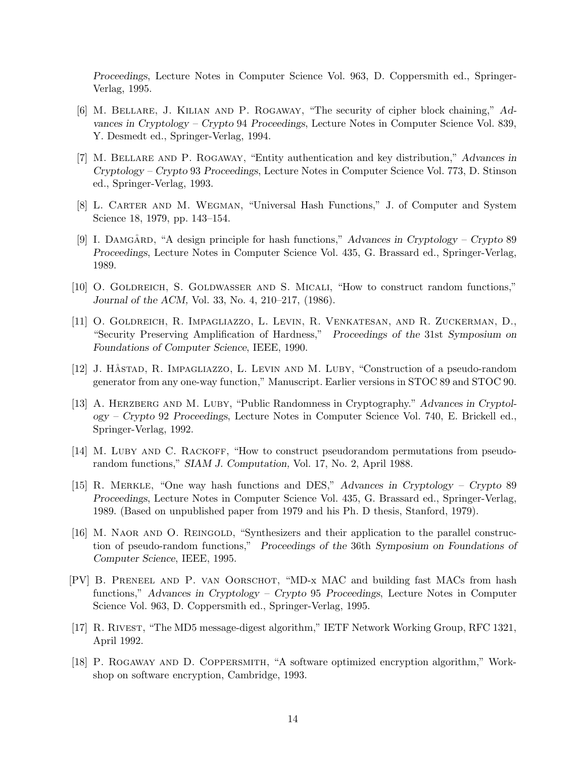Proceedings, Lecture Notes in Computer Science Vol. 963, D. Coppersmith ed., Springer-Verlag, 1995.

- [6] M. Bellare, J. Kilian and P. Rogaway, "The security of cipher block chaining," Advances in Cryptology – Crypto 94 Proceedings, Lecture Notes in Computer Science Vol. 839, Y. Desmedt ed., Springer-Verlag, 1994.
- [7] M. Bellare and P. Rogaway, "Entity authentication and key distribution," Advances in Cryptology – Crypto 93 Proceedings, Lecture Notes in Computer Science Vol. 773, D. Stinson ed., Springer-Verlag, 1993.
- [8] L. Carter and M. Wegman, "Universal Hash Functions," J. of Computer and System Science 18, 1979, pp. 143–154.
- [9] I. DAMGÅRD, "A design principle for hash functions," Advances in Cryptology Crypto 89 Proceedings, Lecture Notes in Computer Science Vol. 435, G. Brassard ed., Springer-Verlag, 1989.
- [10] O. Goldreich, S. Goldwasser and S. Micali, "How to construct random functions," Journal of the ACM, Vol. 33, No. 4, 210–217, (1986).
- [11] O. Goldreich, R. Impagliazzo, L. Levin, R. Venkatesan, and R. Zuckerman, D., "Security Preserving Amplification of Hardness," Proceedings of the 31st Symposium on Foundations of Computer Science, IEEE, 1990.
- [12] J. HÄSTAD, R. IMPAGLIAZZO, L. LEVIN AND M. LUBY, "Construction of a pseudo-random generator from any one-way function," Manuscript. Earlier versions in STOC 89 and STOC 90.
- [13] A. HERZBERG AND M. LUBY, "Public Randomness in Cryptography." Advances in Cryptology – Crypto 92 Proceedings, Lecture Notes in Computer Science Vol. 740, E. Brickell ed., Springer-Verlag, 1992.
- [14] M. LUBY AND C. RACKOFF, "How to construct pseudorandom permutations from pseudorandom functions," SIAM J. Computation, Vol. 17, No. 2, April 1988.
- [15] R. Merkle, "One way hash functions and DES," Advances in Cryptology Crypto 89 Proceedings, Lecture Notes in Computer Science Vol. 435, G. Brassard ed., Springer-Verlag, 1989. (Based on unpublished paper from 1979 and his Ph. D thesis, Stanford, 1979).
- [16] M. NAOR AND O. REINGOLD, "Synthesizers and their application to the parallel construction of pseudo-random functions," Proceedings of the 36th Symposium on Foundations of Computer Science, IEEE, 1995.
- [PV] B. Preneel and P. van Oorschot, "MD-x MAC and building fast MACs from hash functions," Advances in Cryptology – Crypto 95 Proceedings, Lecture Notes in Computer Science Vol. 963, D. Coppersmith ed., Springer-Verlag, 1995.
- [17] R. Rivest, "The MD5 message-digest algorithm," IETF Network Working Group, RFC 1321, April 1992.
- [18] P. Rogaway and D. Coppersmith, "A software optimized encryption algorithm," Workshop on software encryption, Cambridge, 1993.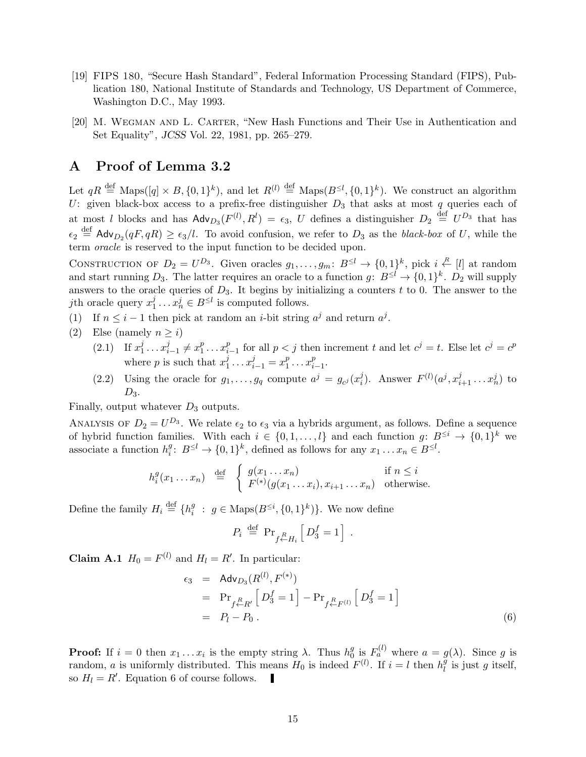- [19] FIPS 180, "Secure Hash Standard", Federal Information Processing Standard (FIPS), Publication 180, National Institute of Standards and Technology, US Department of Commerce, Washington D.C., May 1993.
- [20] M. Wegman and L. Carter, "New Hash Functions and Their Use in Authentication and Set Equality", JCSS Vol. 22, 1981, pp. 265–279.

## A Proof of Lemma 3.2

Let  $qR \stackrel{\text{def}}{=} \text{Maps}([q] \times B, \{0,1\}^k)$ , and let  $R^{(l)} \stackrel{\text{def}}{=} \text{Maps}(B^{\leq l}, \{0,1\}^k)$ . We construct an algorithm U: given black-box access to a prefix-free distinguisher  $D_3$  that asks at most q queries each of at most l blocks and has  $\mathsf{Adv}_{D_3}(F^{(l)}, R^l) = \epsilon_3$ , U defines a distinguisher  $D_2 \stackrel{\text{def}}{=} U^{D_3}$  that has  $\epsilon_2 \stackrel{\text{def}}{=} \mathsf{Adv}_{D_2}(qF, qR) \geq \epsilon_3/l$ . To avoid confusion, we refer to  $D_3$  as the black-box of U, while the term oracle is reserved to the input function to be decided upon.

CONSTRUCTION OF  $D_2 = U^{D_3}$ . Given oracles  $g_1, \ldots, g_m: B^{\leq l} \to \{0,1\}^k$ , pick  $i \stackrel{R}{\leftarrow} [l]$  at random and start running  $D_3$ . The latter requires an oracle to a function  $g: B^{\leq l} \to \{0,1\}^k$ .  $D_2$  will supply answers to the oracle queries of  $D_3$ . It begins by initializing a counters t to 0. The answer to the *j*th oracle query  $x_1^j$  $j_1^j \ldots x_n^j \in B^{\leq l}$  is computed follows.

- (1) If  $n \leq i 1$  then pick at random an *i*-bit string  $a^j$  and return  $a^j$ .
- (2) Else (namely  $n \geq i$ )
	- $(2.1)$  If  $x_1^j$  $i_1^j \ldots x_i^j$  $i_{i-1}^j \neq x_1^p$  $i<sup>p</sup>$ <sub>1</sub>...  $x_i<sup>p</sup>$  $_{i-1}^p$  for all  $p < j$  then increment t and let  $c^j = t$ . Else let  $c^j = c^p$ where p is such that  $x_1^j$  $x_{i-1}^j = x_1^p$  $i_1^p \ldots x_i^p$  $_{i-1}^p$ .
	- (2.2) Using the oracle for  $g_1, \ldots, g_q$  compute  $a^j = g_{c^j}(x_i^j)$  $i$ ). Answer  $F^{(l)}(a^j, x_{i+1}^j \dots x_n^j)$  to  $D_3$ .

Finally, output whatever  $D_3$  outputs.

ANALYSIS OF  $D_2 = U^{D_3}$ . We relate  $\epsilon_2$  to  $\epsilon_3$  via a hybrids argument, as follows. Define a sequence of hybrid function families. With each  $i \in \{0, 1, \ldots, l\}$  and each function  $g: B^{\leq i} \to \{0, 1\}^k$  we associate a function  $h_i^g$  $s_i^g: B^{\leq l} \to \{0,1\}^k$ , defined as follows for any  $x_1 \dots x_n \in B^{\leq l}$ .

$$
h_i^g(x_1 \dots x_n) \stackrel{\text{def}}{=} \begin{cases} g(x_1 \dots x_n) & \text{if } n \leq i \\ F^{(*)}(g(x_1 \dots x_i), x_{i+1} \dots x_n) & \text{otherwise.} \end{cases}
$$

Define the family  $H_i \stackrel{\text{def}}{=} \{h_i^g\}$  $i : g \in \text{Maps}(B^{\leq i}, \{0,1\}^k)\}.$  We now define

$$
P_i \stackrel{\text{def}}{=} \Pr_{f \leftarrow H_i} \left[ D_3^f = 1 \right].
$$

**Claim A.1**  $H_0 = F^{(l)}$  and  $H_l = R'$ . In particular:

$$
\epsilon_3 = \text{Adv}_{D_3}(R^{(l)}, F^{(*)})
$$
  
=  $\Pr_{f \stackrel{R}{\leftarrow} R'} [D_3^f = 1] - \Pr_{f \stackrel{R}{\leftarrow} F^{(l)}} [D_3^f = 1]$   
=  $P_l - P_0$ . (6)

**Proof:** If  $i = 0$  then  $x_1 \dots x_i$  is the empty string  $\lambda$ . Thus  $h_0^g$  $\frac{g}{0}$  is  $F_a^{(l)}$  where  $a = g(\lambda)$ . Since g is random, a is uniformly distributed. This means  $H_0$  is indeed  $F^{(l)}$ . If  $i = l$  then  $h_l^{\overline{g}}$  $_l^g$  is just g itself, so  $H_l = R'$ . Equation 6 of course follows.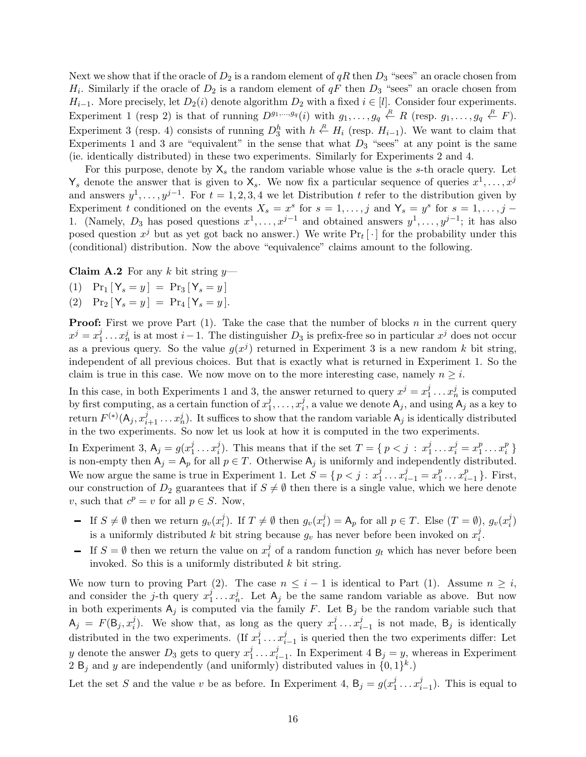Next we show that if the oracle of  $D_2$  is a random element of qR then  $D_3$  "sees" an oracle chosen from  $H_i$ . Similarly if the oracle of  $D_2$  is a random element of  $qF$  then  $D_3$  "sees" an oracle chosen from  $H_{i-1}$ . More precisely, let  $D_2(i)$  denote algorithm  $D_2$  with a fixed  $i \in [l]$ . Consider four experiments. Experiment 1 (resp 2) is that of running  $D^{g_1,...,g_q}(i)$  with  $g_1,...,g_q \stackrel{R}{\leftarrow} R$  (resp.  $g_1,...,g_q \stackrel{R}{\leftarrow} F$ ). Experiment 3 (resp. 4) consists of running  $D_3^h$  with  $h \stackrel{R}{\leftarrow} H_i$  (resp.  $H_{i-1}$ ). We want to claim that Experiments 1 and 3 are "equivalent" in the sense that what  $D_3$  "sees" at any point is the same (ie. identically distributed) in these two experiments. Similarly for Experiments 2 and 4.

For this purpose, denote by  $X_s$  the random variable whose value is the s-th oracle query. Let  $\mathsf{Y}_s$  denote the answer that is given to  $\mathsf{X}_s$ . We now fix a particular sequence of queries  $x^1, \ldots, x^j$ and answers  $y^1, \ldots, y^{j-1}$ . For  $t = 1, 2, 3, 4$  we let Distribution t refer to the distribution given by Experiment t conditioned on the events  $X_s = x^s$  for  $s = 1, \ldots, j$  and  $Y_s = y^s$  for  $s = 1, \ldots, j$ 1. (Namely,  $D_3$  has posed questions  $x^1, \ldots, x^{j-1}$  and obtained answers  $y^1, \ldots, y^{j-1}$ ; it has also posed question  $x^j$  but as yet got back no answer.) We write  $Pr_t[\cdot]$  for the probability under this (conditional) distribution. Now the above "equivalence" claims amount to the following.

**Claim A.2** For any k bit string  $y$ —

- (1)  $Pr_1[Y_s = y] = Pr_3[Y_s = y]$
- (2)  $Pr_2[Y_s = y] = Pr_4[Y_s = y]$ .

**Proof:** First we prove Part  $(1)$ . Take the case that the number of blocks n in the current query  $x^j = x_1^j$  $i_1^j \ldots x_n^j$  is at most  $i-1$ . The distinguisher  $D_3$  is prefix-free so in particular  $x^j$  does not occur as a previous query. So the value  $g(x^j)$  returned in Experiment 3 is a new random k bit string, independent of all previous choices. But that is exactly what is returned in Experiment 1. So the claim is true in this case. We now move on to the more interesting case, namely  $n \geq i$ .

In this case, in both Experiments 1 and 3, the answer returned to query  $x^j = x_1^j$  $x_1^j \ldots x_n^j$  is computed by first computing, as a certain function of  $x_1^j$  $i_1^j, \ldots, x_i^j$  $i_j^j$ , a value we denote  $A_j$ , and using  $A_j$  as a key to return  $F^{(*)}(\mathsf{A}_j,x_{i+1}^j\ldots x_n^j)$ . It suffices to show that the random variable  $\mathsf{A}_j$  is identically distributed in the two experiments. So now let us look at how it is computed in the two experiments.

In Experiment 3,  $A_j = g(x_1^j)$  $i_1^j \ldots x_i^j$  $i$ ). This means that if the set  $T = \{ p < j : x_1^j \}$  $x_1^j \ldots x_i^j = x_1^p$  $i<sup>p</sup>$ <sub>1</sub> ...  $x_i<sup>p</sup>$  $_i^p$  } is non-empty then  $A_j = A_p$  for all  $p \in T$ . Otherwise  $A_j$  is uniformly and independently distributed. We now argue the same is true in Experiment 1. Let  $S = \{p < j : x_1^j\}$  $x_{i-1}^j = x_1^p$  $\frac{p}{1} \ldots x_i^p$  $_{i-1}^p$  }. First, our construction of  $D_2$  guarantees that if  $S \neq \emptyset$  then there is a single value, which we here denote v, such that  $c^p = v$  for all  $p \in S$ . Now,

- If  $S \neq \emptyset$  then we return  $g_v(x_i^j)$  $j_i^j$ ). If  $T \neq \emptyset$  then  $g_v(x_i^j)$  $i_j^j$ ) = A<sub>p</sub> for all  $p \in T$ . Else  $(T = \emptyset)$ ,  $g_v(x_i^j)$  $\binom{j}{i}$ is a uniformly distributed k bit string because  $g_v$  has never before been invoked on  $x_i^j$  $\frac{j}{i}$ .
- If  $S = \emptyset$  then we return the value on  $x_i^j$  $\frac{1}{i}$  of a random function  $g_t$  which has never before been invoked. So this is a uniformly distributed  $k$  bit string.

We now turn to proving Part (2). The case  $n \leq i - 1$  is identical to Part (1). Assume  $n \geq i$ , and consider the *j*-th query  $x_1^j$  $i_1^j \ldots x_n^j$ . Let  $A_j$  be the same random variable as above. But now in both experiments  $A_j$  is computed via the family F. Let  $B_j$  be the random variable such that  $A_j = F(B_j, x_i^j)$  $i$ ). We show that, as long as the query  $x_1^j$  $i_1^j \ldots x_i^j$  $i_{i-1}$  is not made, B<sub>j</sub> is identically distributed in the two experiments. (If  $x_1^j$  $i_1^j \ldots x_i^j$  $i_{i-1}$  is queried then the two experiments differ: Let y denote the answer  $D_3$  gets to query  $x_1^j$  $i_1^j \ldots x_i^j$  $i_{i-1}$ . In Experiment 4 B<sub>j</sub> = y<sub>i</sub>, whereas in Experiment 2 B<sub>j</sub> and y are independently (and uniformly) distributed values in  $\{0,1\}^k$ .)

Let the set S and the value v be as before. In Experiment 4,  $B_j = g(x_1^j)$  $i_1^j \ldots x_i^j$  $_{i-1}^j$ ). This is equal to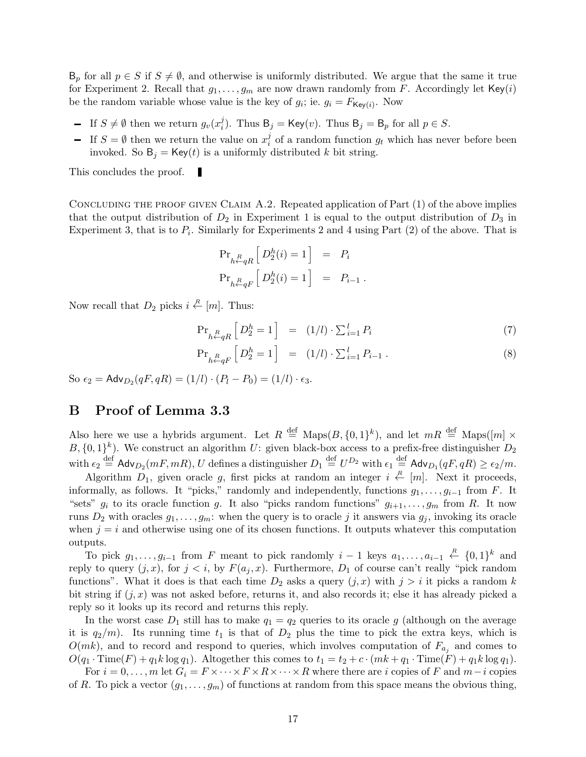$B_p$  for all  $p \in S$  if  $S \neq \emptyset$ , and otherwise is uniformly distributed. We argue that the same it true for Experiment 2. Recall that  $g_1, \ldots, g_m$  are now drawn randomly from F. Accordingly let Key(i) be the random variable whose value is the key of  $g_i$ ; ie.  $g_i = F_{\mathsf{Key}(i)}$ . Now

- If  $S \neq \emptyset$  then we return  $g_v(x_i^j)$ <sup>*i*</sup><sub>i</sub>). Thus  $B_j = Key(v)$ . Thus  $B_j = B_p$  for all  $p \in S$ .
- If  $S = \emptyset$  then we return the value on  $x_i^j$  $\frac{1}{i}$  of a random function  $g_t$  which has never before been invoked. So  $B_i = \text{Key}(t)$  is a uniformly distributed k bit string.

This concludes the proof. П

CONCLUDING THE PROOF GIVEN CLAIM  $A.2$ . Repeated application of Part  $(1)$  of the above implies that the output distribution of  $D_2$  in Experiment 1 is equal to the output distribution of  $D_3$  in Experiment 3, that is to  $P_i$ . Similarly for Experiments 2 and 4 using Part (2) of the above. That is

$$
\label{eq:proba} \begin{array}{rcl} \Pr_{h \stackrel{R}{\leftarrow} qR} \left[ \, D_2^h(i) = 1 \, \right] & = & P_i \\[1ex] \Pr_{h \stackrel{R}{\leftarrow} qF} \left[ \, D_2^h(i) = 1 \, \right] & = & P_{i-1} \; . \end{array}
$$

Now recall that  $D_2$  picks  $i \stackrel{R}{\leftarrow} [m]$ . Thus:

$$
\Pr_{h \leftarrow qR} \left[ D_2^h = 1 \right] = (1/l) \cdot \sum_{i=1}^l P_i \tag{7}
$$

$$
\Pr_{h \leftarrow qF} \left[ D_2^h = 1 \right] = (1/l) \cdot \sum_{i=1}^l P_{i-1} . \tag{8}
$$

So  $\epsilon_2 = \mathsf{Adv}_{D_2}(qF, qR) = (1/l) \cdot (P_l - P_0) = (1/l) \cdot \epsilon_3.$ 

# B Proof of Lemma 3.3

Also here we use a hybrids argument. Let  $R \stackrel{\text{def}}{=} \text{Maps}(B, \{0,1\}^k)$ , and let  $mR \stackrel{\text{def}}{=} \text{Maps}([m] \times$  $B, \{0,1\}^k$ ). We construct an algorithm U: given black-box access to a prefix-free distinguisher  $D_2$ with  $\epsilon_2 \stackrel{\text{def}}{=} \mathsf{Adv}_{D_2}(mF, mR), U$  defines a distinguisher  $D_1 \stackrel{\text{def}}{=} U^{D_2}$  with  $\epsilon_1 \stackrel{\text{def}}{=} \mathsf{Adv}_{D_1}(qF, qR) \ge \epsilon_2/m$ .

Algorithm  $D_1$ , given oracle g, first picks at random an integer  $i \stackrel{R}{\leftarrow} [m]$ . Next it proceeds, informally, as follows. It "picks," randomly and independently, functions  $g_1, \ldots, g_{i-1}$  from F. It "sets"  $g_i$  to its oracle function g. It also "picks random functions"  $g_{i+1}, \ldots, g_m$  from R. It now runs  $D_2$  with oracles  $g_1, \ldots, g_m$ : when the query is to oracle j it answers via  $g_j$ , invoking its oracle when  $j = i$  and otherwise using one of its chosen functions. It outputs whatever this computation outputs.

To pick  $g_1, \ldots, g_{i-1}$  from F meant to pick randomly  $i-1$  keys  $a_1, \ldots, a_{i-1} \stackrel{R}{\leftarrow} \{0,1\}^k$  and reply to query  $(j, x)$ , for  $j < i$ , by  $F(a_j, x)$ . Furthermore,  $D_1$  of course can't really "pick random" functions". What it does is that each time  $D_2$  asks a query  $(j, x)$  with  $j > i$  it picks a random k bit string if  $(j, x)$  was not asked before, returns it, and also records it; else it has already picked a reply so it looks up its record and returns this reply.

In the worst case  $D_1$  still has to make  $q_1 = q_2$  queries to its oracle g (although on the average it is  $q_2/m$ ). Its running time  $t_1$  is that of  $D_2$  plus the time to pick the extra keys, which is  $O(mk)$ , and to record and respond to queries, which involves computation of  $F_{a_j}$  and comes to  $O(q_1 \cdot \text{Time}(F) + q_1k \log q_1)$ . Altogether this comes to  $t_1 = t_2 + c \cdot (mk + q_1 \cdot \text{Time}(F) + q_1k \log q_1)$ .

For  $i = 0, \ldots, m$  let  $G_i = F \times \cdots \times F \times R \times \cdots \times R$  where there are i copies of F and  $m-i$  copies of R. To pick a vector  $(g_1, \ldots, g_m)$  of functions at random from this space means the obvious thing,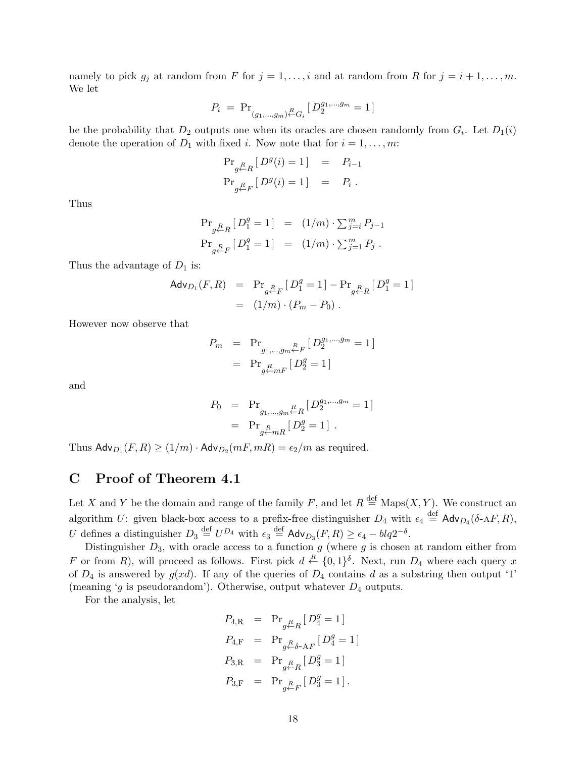namely to pick  $g_j$  at random from F for  $j = 1, \ldots, i$  and at random from R for  $j = i + 1, \ldots, m$ . We let

$$
P_i \ = \ \mathrm{Pr}_{(g_1,\ldots,g_m) \overset{R}{\leftarrow} G_i} \, [\, D_2^{g_1,\ldots,g_m} = 1 \, ]
$$

be the probability that  $D_2$  outputs one when its oracles are chosen randomly from  $G_i$ . Let  $D_1(i)$ denote the operation of  $D_1$  with fixed *i*. Now note that for  $i = 1, \ldots, m$ :

$$
\begin{array}{rcl} \Pr_{g \leftarrow R} \left[ \, D^g(i) = 1 \, \right] & = & P_{i-1} \\ \Pr_{g \leftarrow F} \left[ \, D^g(i) = 1 \, \right] & = & P_i \; . \end{array}
$$

Thus

$$
\begin{array}{rcl} \Pr_{g \leftarrow R} \left[ \, D_1^g = 1 \, \right] & = & \left( 1/m \right) \cdot \sum_{j=i}^m P_{j-1} \\ \Pr_{g \leftarrow F} \left[ \, D_1^g = 1 \, \right] & = & \left( 1/m \right) \cdot \sum_{j=1}^m P_j \ . \end{array}
$$

Thus the advantage of  $D_1$  is:

$$
\begin{array}{rcl}\n\mathsf{Adv}_{D_1}(F, R) & = & \Pr_{g \leftarrow F} \left[ \, D_1^g = 1 \, \right] - \Pr_{g \leftarrow R} \left[ \, D_1^g = 1 \, \right] \\
& = & (1/m) \cdot (P_m - P_0) \, .\n\end{array}
$$

However now observe that

$$
P_m = \Pr_{g_1, \dots, g_m \stackrel{R}{\leftarrow} F} [D_2^{g_1, \dots, g_m} = 1]
$$
  
=  $\Pr_{g \stackrel{R}{\leftarrow} mF} [D_2^g = 1]$ 

and

$$
P_0 = \Pr_{\substack{g_1,\dots,g_m \in R \\ g \leftarrow mR}} [D_2^{g_1,\dots,g_m} = 1]
$$
  
=  $\Pr_{g \leftarrow mR} [D_2^g = 1]$ .

Thus  $\mathsf{Adv}_{D_1}(F,R) \ge (1/m) \cdot \mathsf{Adv}_{D_2}(mF,mR) = \epsilon_2/m$  as required.

# C Proof of Theorem 4.1

Let X and Y be the domain and range of the family F, and let  $R \stackrel{\text{def}}{=} \text{Maps}(X, Y)$ . We construct an algorithm U: given black-box access to a prefix-free distinguisher  $D_4$  with  $\epsilon_4 \stackrel{\text{def}}{=} \mathsf{Adv}_{D_4}(\delta \text{-A} F, R)$ , U defines a distinguisher  $D_3 \stackrel{\text{def}}{=} U^{D_4}$  with  $\epsilon_3 \stackrel{\text{def}}{=} \mathsf{Adv}_{D_3}(F, R) \ge \epsilon_4 - blq2^{-\delta}$ .

Distinguisher  $D_3$ , with oracle access to a function g (where g is chosen at random either from F or from R), will proceed as follows. First pick  $d \stackrel{R}{\leftarrow} \{0,1\}^{\delta}$ . Next, run  $D_4$  where each query x of  $D_4$  is answered by  $g(xd)$ . If any of the queries of  $D_4$  contains d as a substring then output '1' (meaning 'g is pseudorandom'). Otherwise, output whatever  $D_4$  outputs.

For the analysis, let

$$
P_{4,R} = \Pr_{g \leftarrow R} [D_4^g = 1]
$$
  
\n
$$
P_{4,F} = \Pr_{g \leftarrow \delta - AF} [D_4^g = 1]
$$
  
\n
$$
P_{3,R} = \Pr_{g \leftarrow R} [D_3^g = 1]
$$
  
\n
$$
P_{3,F} = \Pr_{g \leftarrow F} [D_3^g = 1].
$$